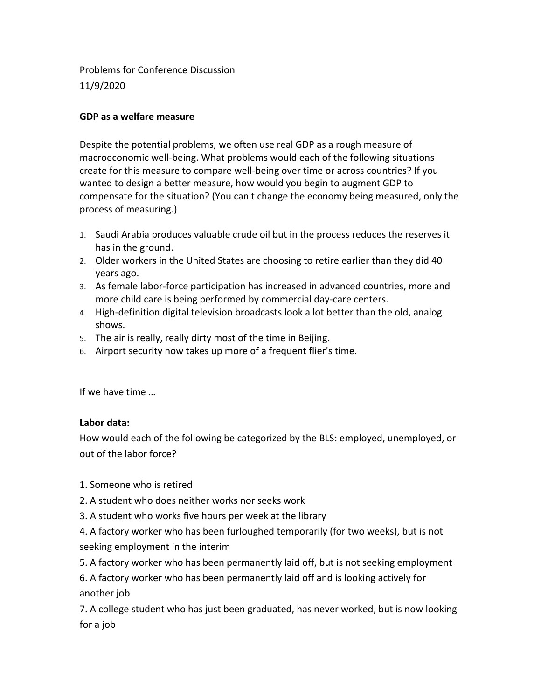Problems for Conference Discussion 11/9/2020

## **GDP as a welfare measure**

Despite the potential problems, we often use real GDP as a rough measure of macroeconomic well-being. What problems would each of the following situations create for this measure to compare well-being over time or across countries? If you wanted to design a better measure, how would you begin to augment GDP to compensate for the situation? (You can't change the economy being measured, only the process of measuring.)

- 1. Saudi Arabia produces valuable crude oil but in the process reduces the reserves it has in the ground.
- 2. Older workers in the United States are choosing to retire earlier than they did 40 years ago.
- 3. As female labor-force participation has increased in advanced countries, more and more child care is being performed by commercial day-care centers.
- 4. High-definition digital television broadcasts look a lot better than the old, analog shows.
- 5. The air is really, really dirty most of the time in Beijing.
- 6. Airport security now takes up more of a frequent flier's time.

If we have time …

## **Labor data:**

How would each of the following be categorized by the BLS: employed, unemployed, or out of the labor force?

- 1. Someone who is retired
- 2. A student who does neither works nor seeks work
- 3. A student who works five hours per week at the library

4. A factory worker who has been furloughed temporarily (for two weeks), but is not seeking employment in the interim

- 5. A factory worker who has been permanently laid off, but is not seeking employment
- 6. A factory worker who has been permanently laid off and is looking actively for another job

7. A college student who has just been graduated, has never worked, but is now looking for a job